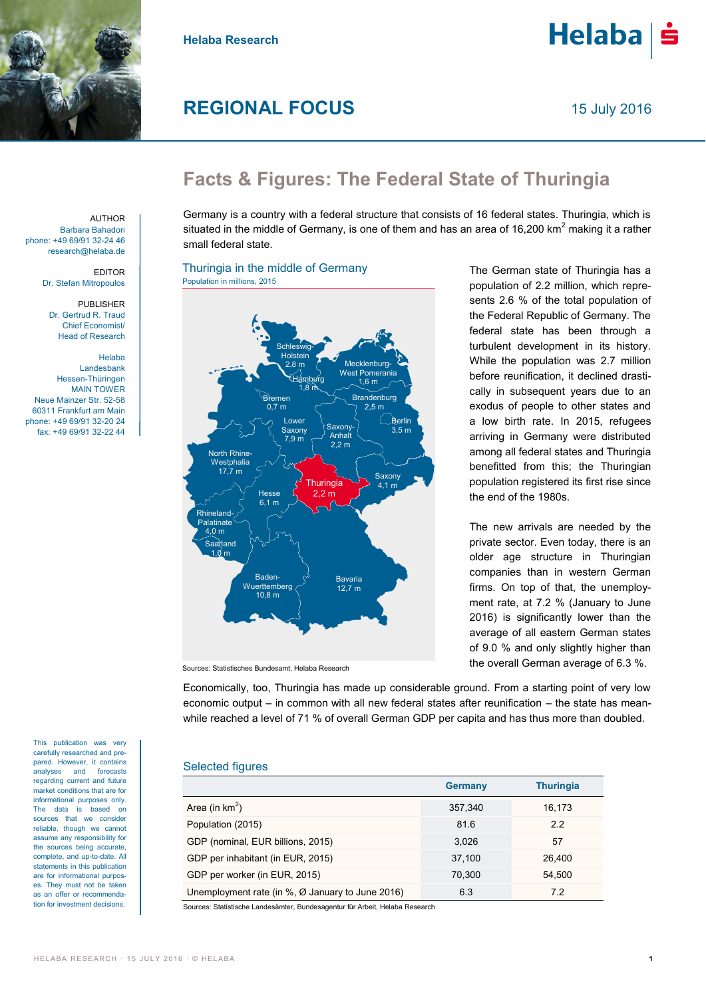

**Helaba Research**

# **REGIONAL FOCUS**

 $He$ laba $|\dot{\mathbf{s}}$ 

# **Facts & Figures: The Federal State of Thuringia**

Germany is a country with a federal structure that consists of 16 federal states. Thuringia, which is situated in the middle of Germany, is one of them and has an area of 16,200 km<sup>2</sup> making it a rather small federal state.

# Thuringia in the middle of Germany Population in millions, 2015



The German state of Thuringia has a population of 2.2 million, which represents 2.6 % of the total population of the Federal Republic of Germany. The federal state has been through a turbulent development in its history. While the population was 2.7 million before reunification, it declined drastically in subsequent years due to an exodus of people to other states and a low birth rate. In 2015, refugees arriving in Germany were distributed among all federal states and Thuringia benefitted from this; the Thuringian population registered its first rise since the end of the 1980s.

The new arrivals are needed by the private sector. Even today, there is an older age structure in Thuringian companies than in western German firms. On top of that, the unemployment rate, at 7.2 % (January to June 2016) is significantly lower than the average of all eastern German states of 9.0 % and only slightly higher than the overall German average of 6.3 %.

Sources: Statistisches Bundesamt, Helaba Research

Economically, too, Thuringia has made up considerable ground. From a starting point of very low economic output – in common with all new federal states after reunification – the state has meanwhile reached a level of 71 % of overall German GDP per capita and has thus more than doubled.

# Selected figures

|                                                                  | <b>Germany</b> | <b>Thuringia</b> |  |  |  |
|------------------------------------------------------------------|----------------|------------------|--|--|--|
| Area (in $km^2$ )                                                | 357,340        | 16,173           |  |  |  |
| Population (2015)                                                | 81.6           | 2.2              |  |  |  |
| GDP (nominal, EUR billions, 2015)                                | 3.026          | 57               |  |  |  |
| GDP per inhabitant (in EUR, 2015)                                | 37,100         | 26,400           |  |  |  |
| GDP per worker (in EUR, 2015)                                    | 70.300         | 54.500           |  |  |  |
| Unemployment rate (in $\%$ , $\varnothing$ January to June 2016) | 6.3            | 7.2              |  |  |  |
|                                                                  |                |                  |  |  |  |

ces: Statistische Landesämter, Bundesagentur für Arbeit, Helaba Research

**AUTHOR** Barbara Bahadori phone: +49 69/91 32-24 46 research@helaba.de

> EDITOR Dr. Stefan Mitropoulos

PUBLISHER Dr. Gertrud R. Traud Chief Economist/ Head of Research

Helaba Landesbank Hessen-Thüringen MAIN TOWER Neue Mainzer Str. 52-58 60311 Frankfurt am Main phone: +49 69/91 32-20 24 fax: +49 69/91 32-22 44

carefully researched and prepared. However, it contains analyses and forecasts regarding current and future market conditions that are for informational purposes only. The data is based on sources that we consider reliable, though we cannot assume any responsibility for the sources being accurate, complete, and up-to-date. All statements in this publication are for informational purposes. They must not be taken as an offer or recommendation for investment decisions.

This publication was very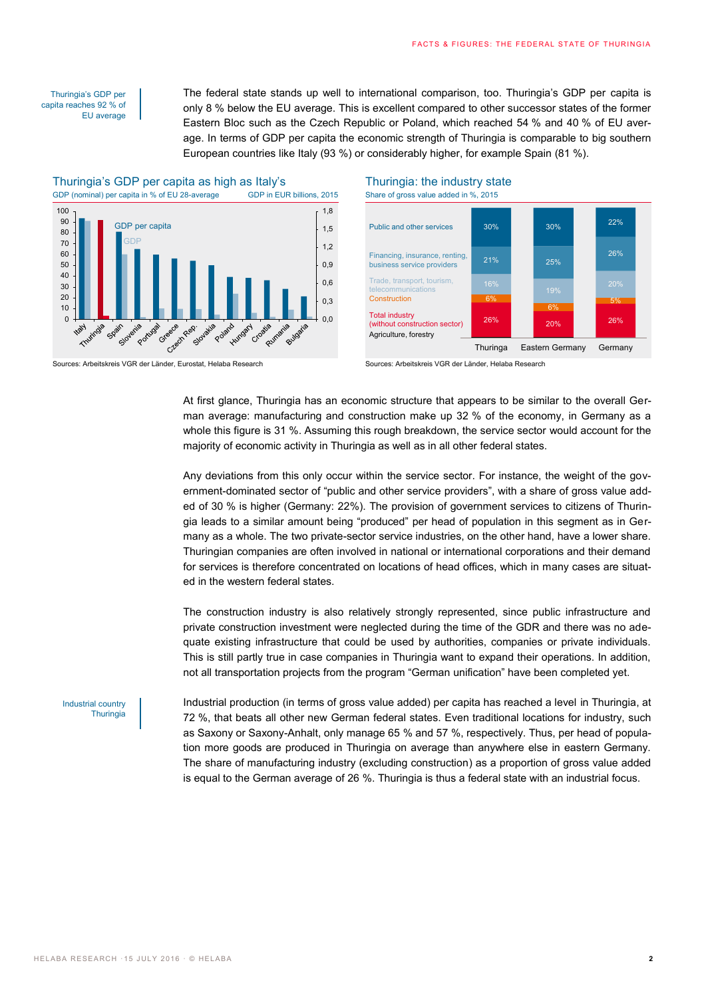### Thuringia's GDP per capita reaches 92 % of EU average

The federal state stands up well to international comparison, too. Thuringia's GDP per capita is only 8 % below the EU average. This is excellent compared to other successor states of the former Eastern Bloc such as the Czech Republic or Poland, which reached 54 % and 40 % of EU average. In terms of GDP per capita the economic strength of Thuringia is comparable to big southern European countries like Italy (93 %) or considerably higher, for example Spain (81 %).



#### Sources: Arbeitskreis VGR der Länder, Eurostat, Helaba Research Sources: Arbeitskreis VGR der Länder, Helaba Research



At first glance, Thuringia has an economic structure that appears to be similar to the overall German average: manufacturing and construction make up 32 % of the economy, in Germany as a whole this figure is 31 %. Assuming this rough breakdown, the service sector would account for the majority of economic activity in Thuringia as well as in all other federal states.

Any deviations from this only occur within the service sector. For instance, the weight of the government-dominated sector of "public and other service providers", with a share of gross value added of 30 % is higher (Germany: 22%). The provision of government services to citizens of Thuringia leads to a similar amount being "produced" per head of population in this segment as in Germany as a whole. The two private-sector service industries, on the other hand, have a lower share. Thuringian companies are often involved in national or international corporations and their demand for services is therefore concentrated on locations of head offices, which in many cases are situated in the western federal states.

The construction industry is also relatively strongly represented, since public infrastructure and private construction investment were neglected during the time of the GDR and there was no adequate existing infrastructure that could be used by authorities, companies or private individuals. This is still partly true in case companies in Thuringia want to expand their operations. In addition, not all transportation projects from the program "German unification" have been completed yet.

Industrial country **Thuringia**  Industrial production (in terms of gross value added) per capita has reached a level in Thuringia, at 72 %, that beats all other new German federal states. Even traditional locations for industry, such as Saxony or Saxony-Anhalt, only manage 65 % and 57 %, respectively. Thus, per head of population more goods are produced in Thuringia on average than anywhere else in eastern Germany. The share of manufacturing industry (excluding construction) as a proportion of gross value added is equal to the German average of 26 %. Thuringia is thus a federal state with an industrial focus.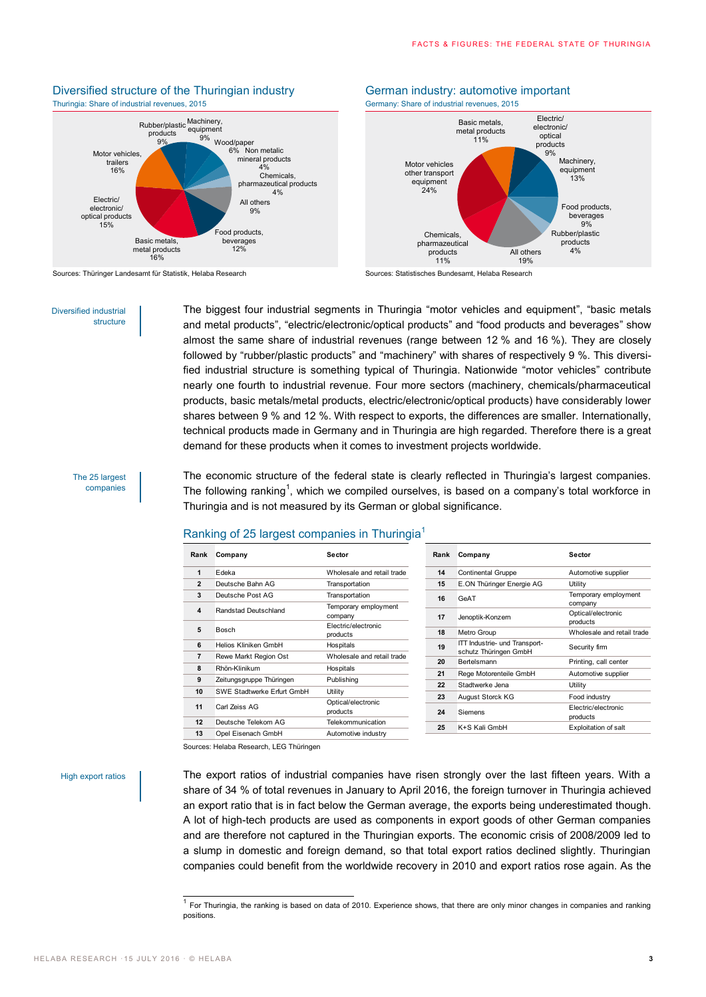## Thuringia: Share of industrial revenues, 2015 Germany: Share of industrial revenues, 2015 Rubber/plastic Machinery, products 9% equipment



Sources: Thüringer Landesamt für Statistik, Helaba Research Sources: Statistisches Bundesamt, Helaba Research

#### Diversified industrial structure

The biggest four industrial segments in Thuringia "motor vehicles and equipment", "basic metals and metal products", "electric/electronic/optical products" and "food products and beverages" show almost the same share of industrial revenues (range between 12 % and 16 %). They are closely followed by "rubber/plastic products" and "machinery" with shares of respectively 9 %. This diversified industrial structure is something typical of Thuringia. Nationwide "motor vehicles" contribute nearly one fourth to industrial revenue. Four more sectors (machinery, chemicals/pharmaceutical products, basic metals/metal products, electric/electronic/optical products) have considerably lower shares between 9 % and 12 %. With respect to exports, the differences are smaller. Internationally, technical products made in Germany and in Thuringia are high regarded. Therefore there is a great demand for these products when it comes to investment projects worldwide.

### The 25 largest companies

The economic structure of the federal state is clearly reflected in Thuringia's largest companies. The following ranking<sup>1</sup>, which we compiled ourselves, is based on a company's total workforce in Thuringia and is not measured by its German or global significance.

# Ranking of 25 largest companies in Thuringia<sup>1</sup>

| Rank           | Company                    | Sector                                                 | Rank | Company                                                | Sector                          |
|----------------|----------------------------|--------------------------------------------------------|------|--------------------------------------------------------|---------------------------------|
| 1              | Edeka                      | Wholesale and retail trade                             | 14   | <b>Continental Gruppe</b>                              | Automotive supplier             |
| $\overline{2}$ | Deutsche Bahn AG           | Transportation                                         | 15   | E.ON Thüringer Energie AG                              | Utility                         |
| 3              | Deutsche Post AG           | Transportation                                         | 16   | GeAT                                                   | Temporary employment<br>company |
| 4              | Randstad Deutschland       | Temporary employment<br>company<br>Electric/electronic | 17   | Jenoptik-Konzern                                       | Optical/electronic<br>products  |
| 5              | Bosch                      | products                                               | 18   | Metro Group                                            | Wholesale and retail trade      |
| 6              | Helios Kliniken GmbH       | Hospitals                                              | 19   | ITT Industrie- und Transport-<br>schutz Thüringen GmbH | Security firm                   |
| 7              | Rewe Markt Region Ost      | Wholesale and retail trade                             | 20   | Bertelsmann                                            | Printing, call center           |
| 8              | Rhön-Klinikum              | Hospitals                                              | 21   | Rege Motorenteile GmbH                                 | Automotive supplier             |
| 9              | Zeitungsgruppe Thüringen   | Publishing                                             | 22   | Stadtwerke Jena                                        |                                 |
| 10             | SWE Stadtwerke Erfurt GmbH | Utility                                                |      |                                                        | Utility                         |
|                |                            | Optical/electronic                                     | 23   | August Storck KG                                       | Food industry                   |
| 11             | Carl Zeiss AG              | products                                               | 24   | Siemens                                                | Electric/electronic<br>products |
| 12             | Deutsche Telekom AG        | Telekommunication                                      | 25   | K+S Kali GmbH                                          | Exploitation of salt            |
| 13             | Opel Eisenach GmbH         | Automotive industry                                    |      |                                                        |                                 |

Sources: Helaba Research, LEG Thüringen

### High export ratios

The export ratios of industrial companies have risen strongly over the last fifteen years. With a share of 34 % of total revenues in January to April 2016, the foreign turnover in Thuringia achieved an export ratio that is in fact below the German average, the exports being underestimated though. A lot of high-tech products are used as components in export goods of other German companies and are therefore not captured in the Thuringian exports. The economic crisis of 2008/2009 led to a slump in domestic and foreign demand, so that total export ratios declined slightly. Thuringian companies could benefit from the worldwide recovery in 2010 and export ratios rose again. As the

# Diversified structure of the Thuringian industry **German industry:** automotive important



 1 For Thuringia, the ranking is based on data of 2010. Experience shows, that there are only minor changes in companies and ranking positions.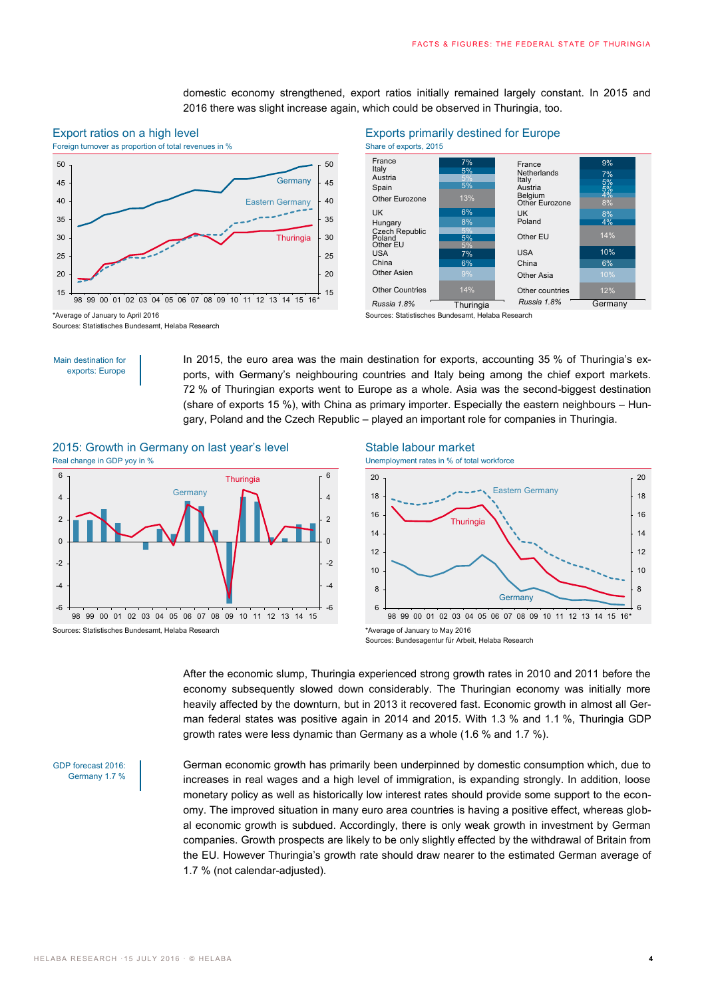

# Export ratios on a high level Exports primarily destined for Europe

domestic economy strengthened, export ratios initially remained largely constant. In 2015 and

2016 there was slight increase again, which could be observed in Thuringia, too.



Sources: Statistisches Bundesamt, Helaba Research

Sources: Statistisches Bundesamt, Helaba Research

### Main destination for exports: Europe

In 2015, the euro area was the main destination for exports, accounting 35 % of Thuringia's exports, with Germany's neighbouring countries and Italy being among the chief export markets. 72 % of Thuringian exports went to Europe as a whole. Asia was the second-biggest destination (share of exports 15 %), with China as primary importer. Especially the eastern neighbours – Hungary, Poland and the Czech Republic – played an important role for companies in Thuringia.

# 2015: Growth in Germany on last year's level Stable labour market Real change in GDP yoy in % Unemployment rates in % of total workforce



Sources: Statistisches Bundesamt, Helaba Research \*Average of January to May 2016





Sources: Bundesagentur für Arbeit, Helaba Research

After the economic slump, Thuringia experienced strong growth rates in 2010 and 2011 before the economy subsequently slowed down considerably. The Thuringian economy was initially more heavily affected by the downturn, but in 2013 it recovered fast. Economic growth in almost all German federal states was positive again in 2014 and 2015. With 1.3 % and 1.1 %, Thuringia GDP growth rates were less dynamic than Germany as a whole (1.6 % and 1.7 %).

GDP forecast 2016: Germany 1.7 % German economic growth has primarily been underpinned by domestic consumption which, due to increases in real wages and a high level of immigration, is expanding strongly. In addition, loose monetary policy as well as historically low interest rates should provide some support to the economy. The improved situation in many euro area countries is having a positive effect, whereas global economic growth is subdued. Accordingly, there is only weak growth in investment by German companies. Growth prospects are likely to be only slightly effected by the withdrawal of Britain from the EU. However Thuringia's growth rate should draw nearer to the estimated German average of 1.7 % (not calendar-adjusted).